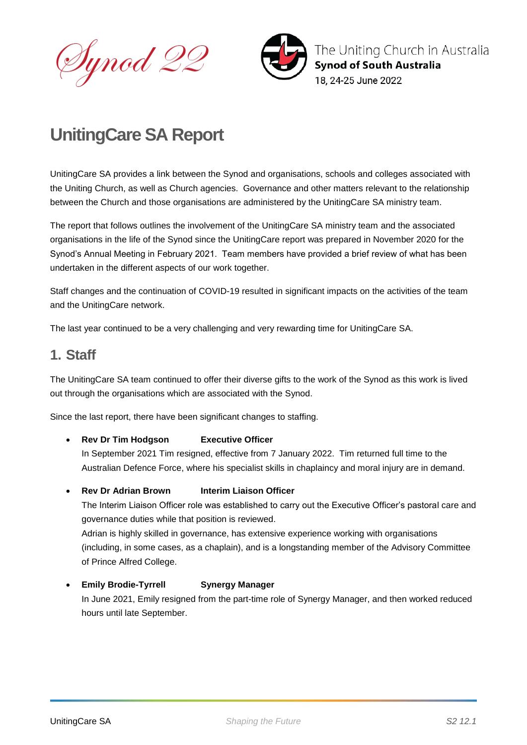Dynod 22



The Uniting Church in Australia **Synod of South Australia** 18. 24-25 June 2022

# **UnitingCare SA Report**

UnitingCare SA provides a link between the Synod and organisations, schools and colleges associated with the Uniting Church, as well as Church agencies. Governance and other matters relevant to the relationship between the Church and those organisations are administered by the UnitingCare SA ministry team.

The report that follows outlines the involvement of the UnitingCare SA ministry team and the associated organisations in the life of the Synod since the UnitingCare report was prepared in November 2020 for the Synod's Annual Meeting in February 2021. Team members have provided a brief review of what has been undertaken in the different aspects of our work together.

Staff changes and the continuation of COVID-19 resulted in significant impacts on the activities of the team and the UnitingCare network.

The last year continued to be a very challenging and very rewarding time for UnitingCare SA.

## **1. Staff**

The UnitingCare SA team continued to offer their diverse gifts to the work of the Synod as this work is lived out through the organisations which are associated with the Synod.

Since the last report, there have been significant changes to staffing.

**Rev Dr Tim Hodgson Executive Officer**

In September 2021 Tim resigned, effective from 7 January 2022. Tim returned full time to the Australian Defence Force, where his specialist skills in chaplaincy and moral injury are in demand.

**Rev Dr Adrian Brown Interim Liaison Officer**

The Interim Liaison Officer role was established to carry out the Executive Officer's pastoral care and governance duties while that position is reviewed.

Adrian is highly skilled in governance, has extensive experience working with organisations (including, in some cases, as a chaplain), and is a longstanding member of the Advisory Committee of Prince Alfred College.

#### **Emily Brodie-Tyrrell Synergy Manager**

In June 2021, Emily resigned from the part-time role of Synergy Manager, and then worked reduced hours until late September.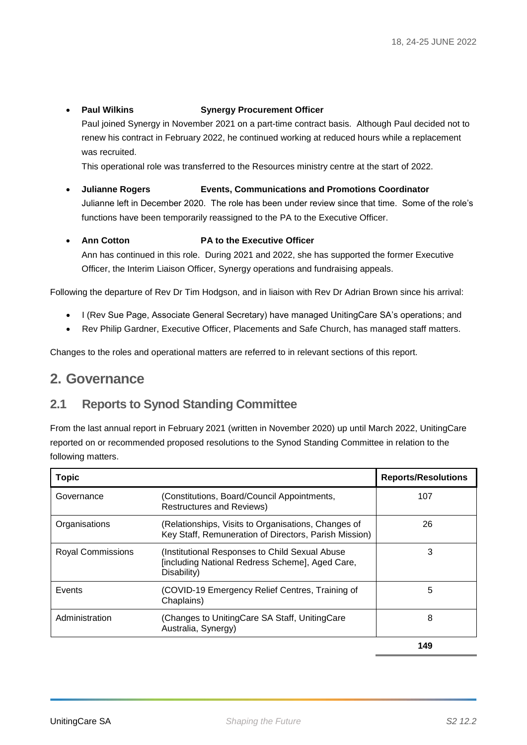#### **Paul Wilkins Synergy Procurement Officer**

Paul joined Synergy in November 2021 on a part-time contract basis. Although Paul decided not to renew his contract in February 2022, he continued working at reduced hours while a replacement was recruited.

This operational role was transferred to the Resources ministry centre at the start of 2022.

 **Julianne Rogers Events, Communications and Promotions Coordinator** Julianne left in December 2020. The role has been under review since that time. Some of the role's functions have been temporarily reassigned to the PA to the Executive Officer.

### **Ann Cotton PA to the Executive Officer**

Ann has continued in this role. During 2021 and 2022, she has supported the former Executive Officer, the Interim Liaison Officer, Synergy operations and fundraising appeals.

Following the departure of Rev Dr Tim Hodgson, and in liaison with Rev Dr Adrian Brown since his arrival:

- I (Rev Sue Page, Associate General Secretary) have managed UnitingCare SA's operations; and
- Rev Philip Gardner, Executive Officer, Placements and Safe Church, has managed staff matters.

Changes to the roles and operational matters are referred to in relevant sections of this report.

## **2. Governance**

## **2.1 Reports to Synod Standing Committee**

From the last annual report in February 2021 (written in November 2020) up until March 2022, UnitingCare reported on or recommended proposed resolutions to the Synod Standing Committee in relation to the following matters.

| <b>Topic</b>             |                                                                                                                   | <b>Reports/Resolutions</b> |
|--------------------------|-------------------------------------------------------------------------------------------------------------------|----------------------------|
| Governance               | (Constitutions, Board/Council Appointments,<br><b>Restructures and Reviews)</b>                                   | 107                        |
| Organisations            | (Relationships, Visits to Organisations, Changes of<br>Key Staff, Remuneration of Directors, Parish Mission)      | 26                         |
| <b>Royal Commissions</b> | (Institutional Responses to Child Sexual Abuse)<br>[including National Redress Scheme], Aged Care,<br>Disability) | 3                          |
| Events                   | (COVID-19 Emergency Relief Centres, Training of<br>Chaplains)                                                     | 5                          |
| Administration           | (Changes to UnitingCare SA Staff, UnitingCare<br>Australia, Synergy)                                              | 8                          |
|                          |                                                                                                                   |                            |

**149**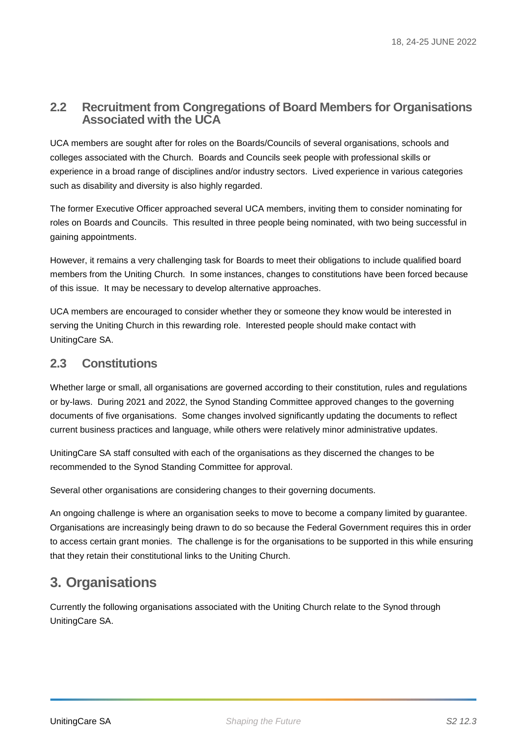### **2.2 Recruitment from Congregations of Board Members for Organisations Associated with the UCA**

UCA members are sought after for roles on the Boards/Councils of several organisations, schools and colleges associated with the Church. Boards and Councils seek people with professional skills or experience in a broad range of disciplines and/or industry sectors. Lived experience in various categories such as disability and diversity is also highly regarded.

The former Executive Officer approached several UCA members, inviting them to consider nominating for roles on Boards and Councils. This resulted in three people being nominated, with two being successful in gaining appointments.

However, it remains a very challenging task for Boards to meet their obligations to include qualified board members from the Uniting Church. In some instances, changes to constitutions have been forced because of this issue. It may be necessary to develop alternative approaches.

UCA members are encouraged to consider whether they or someone they know would be interested in serving the Uniting Church in this rewarding role. Interested people should make contact with UnitingCare SA.

## **2.3 Constitutions**

Whether large or small, all organisations are governed according to their constitution, rules and regulations or by-laws. During 2021 and 2022, the Synod Standing Committee approved changes to the governing documents of five organisations. Some changes involved significantly updating the documents to reflect current business practices and language, while others were relatively minor administrative updates.

UnitingCare SA staff consulted with each of the organisations as they discerned the changes to be recommended to the Synod Standing Committee for approval.

Several other organisations are considering changes to their governing documents.

An ongoing challenge is where an organisation seeks to move to become a company limited by guarantee. Organisations are increasingly being drawn to do so because the Federal Government requires this in order to access certain grant monies. The challenge is for the organisations to be supported in this while ensuring that they retain their constitutional links to the Uniting Church.

## **3. Organisations**

Currently the following organisations associated with the Uniting Church relate to the Synod through UnitingCare SA.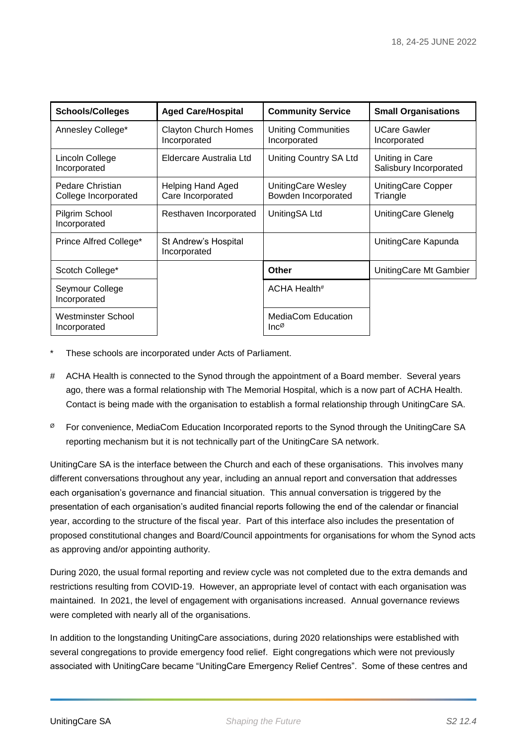| <b>Schools/Colleges</b>                   | <b>Aged Care/Hospital</b>                     | <b>Community Service</b>                       | <b>Small Organisations</b>                |
|-------------------------------------------|-----------------------------------------------|------------------------------------------------|-------------------------------------------|
| Annesley College*                         | <b>Clayton Church Homes</b><br>Incorporated   | <b>Uniting Communities</b><br>Incorporated     | <b>UCare Gawler</b><br>Incorporated       |
| Lincoln College<br>Incorporated           | Eldercare Australia Ltd                       | Uniting Country SA Ltd                         | Uniting in Care<br>Salisbury Incorporated |
| Pedare Christian<br>College Incorporated  | <b>Helping Hand Aged</b><br>Care Incorporated | UnitingCare Wesley<br>Bowden Incorporated      | UnitingCare Copper<br>Triangle            |
| Pilgrim School<br>Incorporated            | Resthaven Incorporated                        | UnitingSA Ltd                                  | UnitingCare Glenelg                       |
| Prince Alfred College*                    | St Andrew's Hospital<br>Incorporated          |                                                | UnitingCare Kapunda                       |
| Scotch College*                           |                                               | Other                                          | UnitingCare Mt Gambier                    |
| Seymour College<br>Incorporated           |                                               | ACHA Health#                                   |                                           |
| <b>Westminster School</b><br>Incorporated |                                               | <b>MediaCom Education</b><br>$Inc^{\emptyset}$ |                                           |

- These schools are incorporated under Acts of Parliament.
- # ACHA Health is connected to the Synod through the appointment of a Board member. Several years ago, there was a formal relationship with The Memorial Hospital, which is a now part of ACHA Health. Contact is being made with the organisation to establish a formal relationship through UnitingCare SA.
- $\%$  For convenience, MediaCom Education Incorporated reports to the Synod through the UnitingCare SA reporting mechanism but it is not technically part of the UnitingCare SA network.

UnitingCare SA is the interface between the Church and each of these organisations. This involves many different conversations throughout any year, including an annual report and conversation that addresses each organisation's governance and financial situation. This annual conversation is triggered by the presentation of each organisation's audited financial reports following the end of the calendar or financial year, according to the structure of the fiscal year. Part of this interface also includes the presentation of proposed constitutional changes and Board/Council appointments for organisations for whom the Synod acts as approving and/or appointing authority.

During 2020, the usual formal reporting and review cycle was not completed due to the extra demands and restrictions resulting from COVID-19. However, an appropriate level of contact with each organisation was maintained. In 2021, the level of engagement with organisations increased. Annual governance reviews were completed with nearly all of the organisations.

In addition to the longstanding UnitingCare associations, during 2020 relationships were established with several congregations to provide emergency food relief. Eight congregations which were not previously associated with UnitingCare became "UnitingCare Emergency Relief Centres". Some of these centres and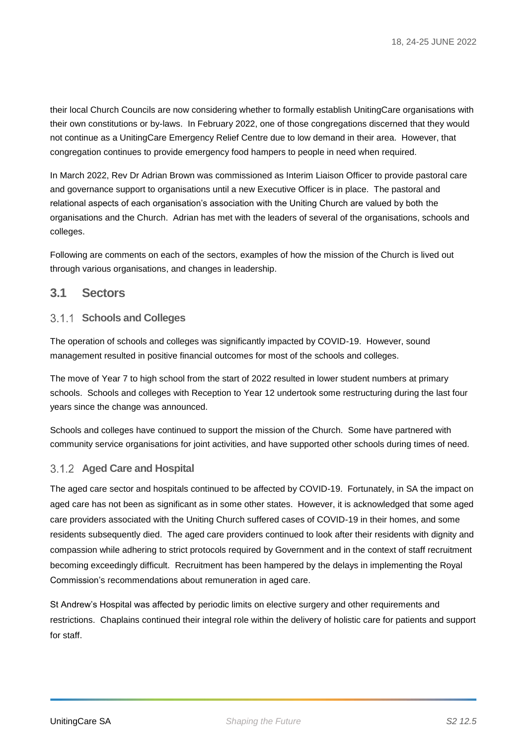their local Church Councils are now considering whether to formally establish UnitingCare organisations with their own constitutions or by-laws. In February 2022, one of those congregations discerned that they would not continue as a UnitingCare Emergency Relief Centre due to low demand in their area. However, that congregation continues to provide emergency food hampers to people in need when required.

In March 2022, Rev Dr Adrian Brown was commissioned as Interim Liaison Officer to provide pastoral care and governance support to organisations until a new Executive Officer is in place. The pastoral and relational aspects of each organisation's association with the Uniting Church are valued by both the organisations and the Church. Adrian has met with the leaders of several of the organisations, schools and colleges.

Following are comments on each of the sectors, examples of how the mission of the Church is lived out through various organisations, and changes in leadership.

#### **3.1 Sectors**

#### **Schools and Colleges**

The operation of schools and colleges was significantly impacted by COVID-19. However, sound management resulted in positive financial outcomes for most of the schools and colleges.

The move of Year 7 to high school from the start of 2022 resulted in lower student numbers at primary schools. Schools and colleges with Reception to Year 12 undertook some restructuring during the last four years since the change was announced.

Schools and colleges have continued to support the mission of the Church. Some have partnered with community service organisations for joint activities, and have supported other schools during times of need.

#### **Aged Care and Hospital**

The aged care sector and hospitals continued to be affected by COVID-19. Fortunately, in SA the impact on aged care has not been as significant as in some other states. However, it is acknowledged that some aged care providers associated with the Uniting Church suffered cases of COVID-19 in their homes, and some residents subsequently died. The aged care providers continued to look after their residents with dignity and compassion while adhering to strict protocols required by Government and in the context of staff recruitment becoming exceedingly difficult. Recruitment has been hampered by the delays in implementing the Royal Commission's recommendations about remuneration in aged care.

St Andrew's Hospital was affected by periodic limits on elective surgery and other requirements and restrictions. Chaplains continued their integral role within the delivery of holistic care for patients and support for staff.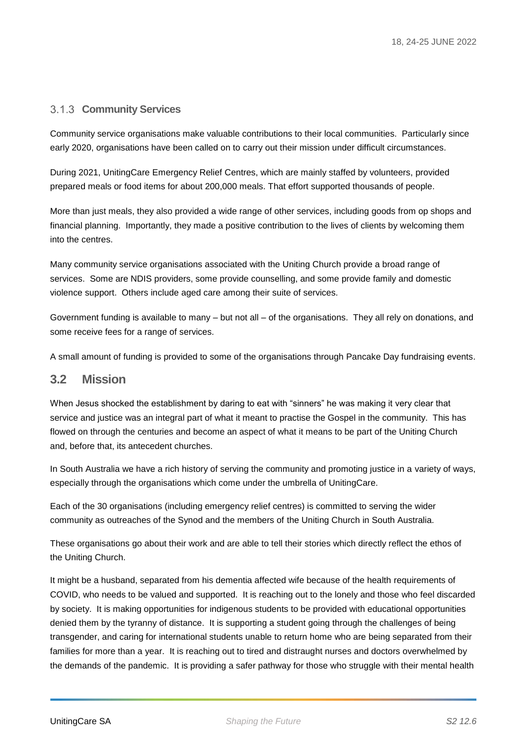#### **Community Services**

Community service organisations make valuable contributions to their local communities. Particularly since early 2020, organisations have been called on to carry out their mission under difficult circumstances.

During 2021, UnitingCare Emergency Relief Centres, which are mainly staffed by volunteers, provided prepared meals or food items for about 200,000 meals. That effort supported thousands of people.

More than just meals, they also provided a wide range of other services, including goods from op shops and financial planning. Importantly, they made a positive contribution to the lives of clients by welcoming them into the centres.

Many community service organisations associated with the Uniting Church provide a broad range of services. Some are NDIS providers, some provide counselling, and some provide family and domestic violence support. Others include aged care among their suite of services.

Government funding is available to many – but not all – of the organisations. They all rely on donations, and some receive fees for a range of services.

A small amount of funding is provided to some of the organisations through Pancake Day fundraising events.

#### **3.2 Mission**

When Jesus shocked the establishment by daring to eat with "sinners" he was making it very clear that service and justice was an integral part of what it meant to practise the Gospel in the community. This has flowed on through the centuries and become an aspect of what it means to be part of the Uniting Church and, before that, its antecedent churches.

In South Australia we have a rich history of serving the community and promoting justice in a variety of ways, especially through the organisations which come under the umbrella of UnitingCare.

Each of the 30 organisations (including emergency relief centres) is committed to serving the wider community as outreaches of the Synod and the members of the Uniting Church in South Australia.

These organisations go about their work and are able to tell their stories which directly reflect the ethos of the Uniting Church.

It might be a husband, separated from his dementia affected wife because of the health requirements of COVID, who needs to be valued and supported. It is reaching out to the lonely and those who feel discarded by society. It is making opportunities for indigenous students to be provided with educational opportunities denied them by the tyranny of distance. It is supporting a student going through the challenges of being transgender, and caring for international students unable to return home who are being separated from their families for more than a year. It is reaching out to tired and distraught nurses and doctors overwhelmed by the demands of the pandemic. It is providing a safer pathway for those who struggle with their mental health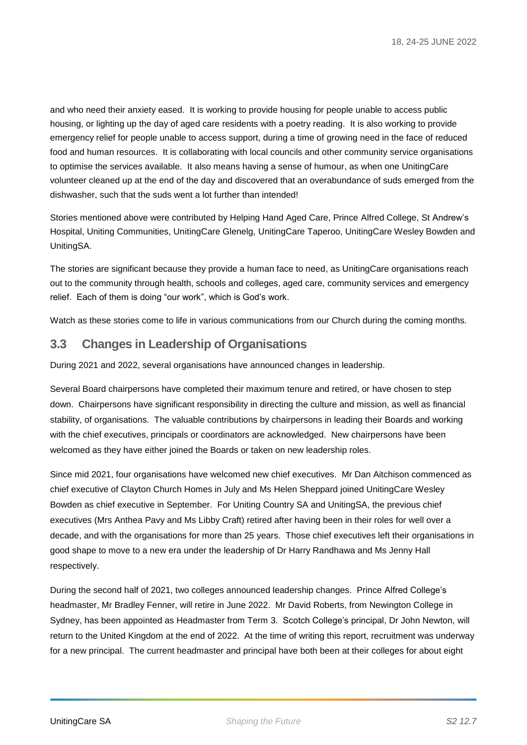and who need their anxiety eased. It is working to provide housing for people unable to access public housing, or lighting up the day of aged care residents with a poetry reading. It is also working to provide emergency relief for people unable to access support, during a time of growing need in the face of reduced food and human resources. It is collaborating with local councils and other community service organisations to optimise the services available. It also means having a sense of humour, as when one UnitingCare volunteer cleaned up at the end of the day and discovered that an overabundance of suds emerged from the dishwasher, such that the suds went a lot further than intended!

Stories mentioned above were contributed by Helping Hand Aged Care, Prince Alfred College, St Andrew's Hospital, Uniting Communities, UnitingCare Glenelg, UnitingCare Taperoo, UnitingCare Wesley Bowden and UnitingSA.

The stories are significant because they provide a human face to need, as UnitingCare organisations reach out to the community through health, schools and colleges, aged care, community services and emergency relief. Each of them is doing "our work", which is God's work.

Watch as these stories come to life in various communications from our Church during the coming months.

### **3.3 Changes in Leadership of Organisations**

During 2021 and 2022, several organisations have announced changes in leadership.

Several Board chairpersons have completed their maximum tenure and retired, or have chosen to step down. Chairpersons have significant responsibility in directing the culture and mission, as well as financial stability, of organisations. The valuable contributions by chairpersons in leading their Boards and working with the chief executives, principals or coordinators are acknowledged. New chairpersons have been welcomed as they have either joined the Boards or taken on new leadership roles.

Since mid 2021, four organisations have welcomed new chief executives. Mr Dan Aitchison commenced as chief executive of Clayton Church Homes in July and Ms Helen Sheppard joined UnitingCare Wesley Bowden as chief executive in September. For Uniting Country SA and UnitingSA, the previous chief executives (Mrs Anthea Pavy and Ms Libby Craft) retired after having been in their roles for well over a decade, and with the organisations for more than 25 years. Those chief executives left their organisations in good shape to move to a new era under the leadership of Dr Harry Randhawa and Ms Jenny Hall respectively.

During the second half of 2021, two colleges announced leadership changes. Prince Alfred College's headmaster, Mr Bradley Fenner, will retire in June 2022. Mr David Roberts, from Newington College in Sydney, has been appointed as Headmaster from Term 3. Scotch College's principal, Dr John Newton, will return to the United Kingdom at the end of 2022. At the time of writing this report, recruitment was underway for a new principal. The current headmaster and principal have both been at their colleges for about eight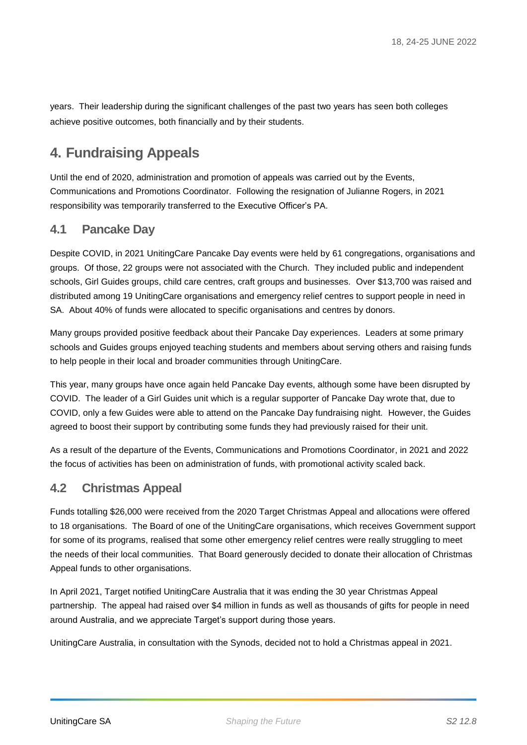years. Their leadership during the significant challenges of the past two years has seen both colleges achieve positive outcomes, both financially and by their students.

## **4. Fundraising Appeals**

Until the end of 2020, administration and promotion of appeals was carried out by the Events, Communications and Promotions Coordinator. Following the resignation of Julianne Rogers, in 2021 responsibility was temporarily transferred to the Executive Officer's PA.

## **4.1 Pancake Day**

Despite COVID, in 2021 UnitingCare Pancake Day events were held by 61 congregations, organisations and groups. Of those, 22 groups were not associated with the Church. They included public and independent schools, Girl Guides groups, child care centres, craft groups and businesses. Over \$13,700 was raised and distributed among 19 UnitingCare organisations and emergency relief centres to support people in need in SA. About 40% of funds were allocated to specific organisations and centres by donors.

Many groups provided positive feedback about their Pancake Day experiences. Leaders at some primary schools and Guides groups enjoyed teaching students and members about serving others and raising funds to help people in their local and broader communities through UnitingCare.

This year, many groups have once again held Pancake Day events, although some have been disrupted by COVID. The leader of a Girl Guides unit which is a regular supporter of Pancake Day wrote that, due to COVID, only a few Guides were able to attend on the Pancake Day fundraising night. However, the Guides agreed to boost their support by contributing some funds they had previously raised for their unit.

As a result of the departure of the Events, Communications and Promotions Coordinator, in 2021 and 2022 the focus of activities has been on administration of funds, with promotional activity scaled back.

## **4.2 Christmas Appeal**

Funds totalling \$26,000 were received from the 2020 Target Christmas Appeal and allocations were offered to 18 organisations. The Board of one of the UnitingCare organisations, which receives Government support for some of its programs, realised that some other emergency relief centres were really struggling to meet the needs of their local communities. That Board generously decided to donate their allocation of Christmas Appeal funds to other organisations.

In April 2021, Target notified UnitingCare Australia that it was ending the 30 year Christmas Appeal partnership. The appeal had raised over \$4 million in funds as well as thousands of gifts for people in need around Australia, and we appreciate Target's support during those years.

UnitingCare Australia, in consultation with the Synods, decided not to hold a Christmas appeal in 2021.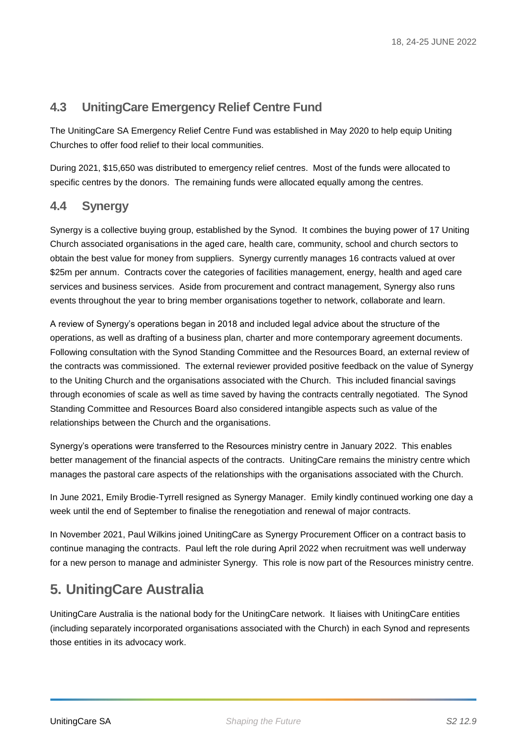## **4.3 UnitingCare Emergency Relief Centre Fund**

The UnitingCare SA Emergency Relief Centre Fund was established in May 2020 to help equip Uniting Churches to offer food relief to their local communities.

During 2021, \$15,650 was distributed to emergency relief centres. Most of the funds were allocated to specific centres by the donors. The remaining funds were allocated equally among the centres.

## **4.4 Synergy**

Synergy is a collective buying group, established by the Synod. It combines the buying power of 17 Uniting Church associated organisations in the aged care, health care, community, school and church sectors to obtain the best value for money from suppliers. Synergy currently manages 16 contracts valued at over \$25m per annum. Contracts cover the categories of facilities management, energy, health and aged care services and business services. Aside from procurement and contract management, Synergy also runs events throughout the year to bring member organisations together to network, collaborate and learn.

A review of Synergy's operations began in 2018 and included legal advice about the structure of the operations, as well as drafting of a business plan, charter and more contemporary agreement documents. Following consultation with the Synod Standing Committee and the Resources Board, an external review of the contracts was commissioned. The external reviewer provided positive feedback on the value of Synergy to the Uniting Church and the organisations associated with the Church. This included financial savings through economies of scale as well as time saved by having the contracts centrally negotiated. The Synod Standing Committee and Resources Board also considered intangible aspects such as value of the relationships between the Church and the organisations.

Synergy's operations were transferred to the Resources ministry centre in January 2022. This enables better management of the financial aspects of the contracts. UnitingCare remains the ministry centre which manages the pastoral care aspects of the relationships with the organisations associated with the Church.

In June 2021, Emily Brodie-Tyrrell resigned as Synergy Manager. Emily kindly continued working one day a week until the end of September to finalise the renegotiation and renewal of major contracts.

In November 2021, Paul Wilkins joined UnitingCare as Synergy Procurement Officer on a contract basis to continue managing the contracts. Paul left the role during April 2022 when recruitment was well underway for a new person to manage and administer Synergy. This role is now part of the Resources ministry centre.

## **5. UnitingCare Australia**

UnitingCare Australia is the national body for the UnitingCare network. It liaises with UnitingCare entities (including separately incorporated organisations associated with the Church) in each Synod and represents those entities in its advocacy work.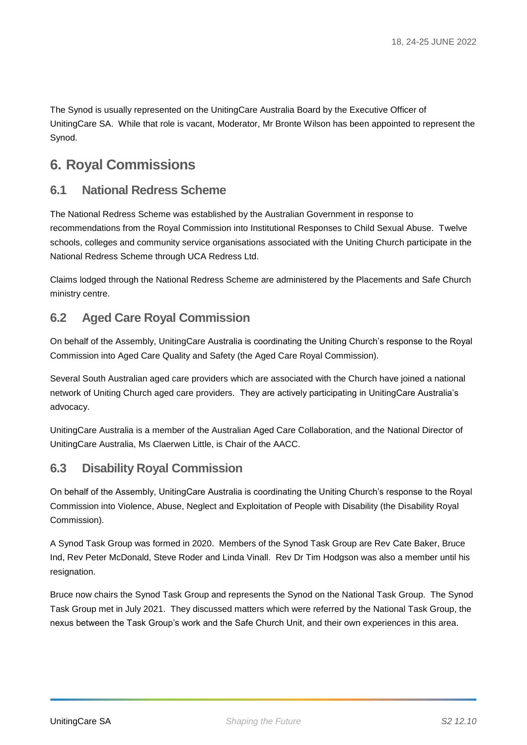The Synod is usually represented on the UnitingCare Australia Board by the Executive Officer of UnitingCare SA. While that role is vacant, Moderator, Mr Bronte Wilson has been appointed to represent the Synod.

## **6. Royal Commissions**

## **6.1 National Redress Scheme**

The National Redress Scheme was established by the Australian Government in response to recommendations from the Royal Commission into Institutional Responses to Child Sexual Abuse. Twelve schools, colleges and community service organisations associated with the Uniting Church participate in the National Redress Scheme through UCA Redress Ltd.

Claims lodged through the National Redress Scheme are administered by the Placements and Safe Church ministry centre.

## **6.2 Aged Care Royal Commission**

On behalf of the Assembly, UnitingCare Australia is coordinating the Uniting Church's response to the Royal Commission into Aged Care Quality and Safety (the Aged Care Royal Commission).

Several South Australian aged care providers which are associated with the Church have joined a national network of Uniting Church aged care providers. They are actively participating in UnitingCare Australia's advocacy.

UnitingCare Australia is a member of the Australian Aged Care Collaboration, and the National Director of UnitingCare Australia, Ms Claerwen Little, is Chair of the AACC.

## **6.3 Disability Royal Commission**

On behalf of the Assembly, UnitingCare Australia is coordinating the Uniting Church's response to the Royal Commission into Violence, Abuse, Neglect and Exploitation of People with Disability (the Disability Royal Commission).

A Synod Task Group was formed in 2020. Members of the Synod Task Group are Rev Cate Baker, Bruce Ind, Rev Peter McDonald, Steve Roder and Linda Vinall. Rev Dr Tim Hodgson was also a member until his resignation.

Bruce now chairs the Synod Task Group and represents the Synod on the National Task Group. The Synod Task Group met in July 2021. They discussed matters which were referred by the National Task Group, the nexus between the Task Group's work and the Safe Church Unit, and their own experiences in this area.